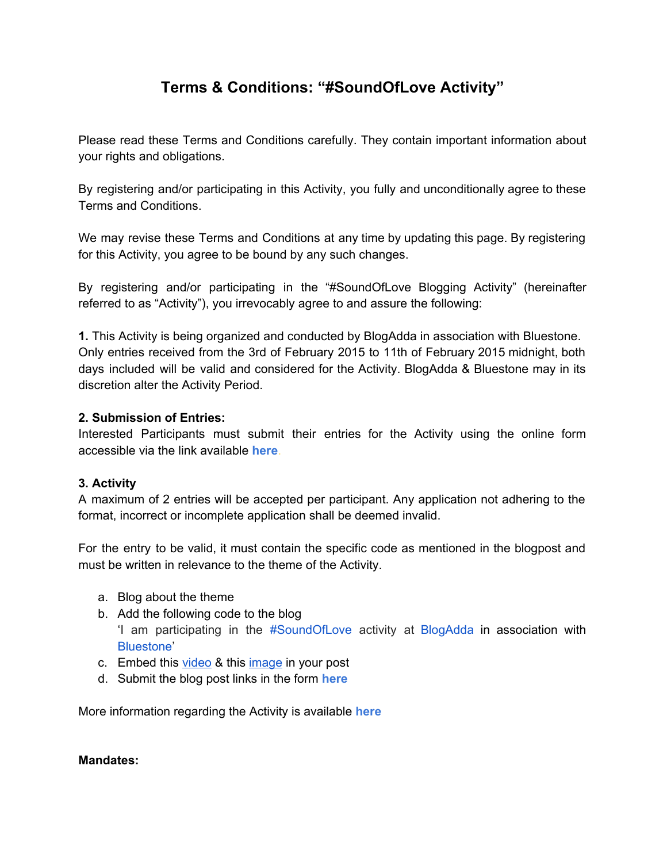# **Terms & Conditions: "#SoundOfLove Activity"**

Please read these Terms and Conditions carefully. They contain important information about your rights and obligations.

By registering and/or participating in this Activity, you fully and unconditionally agree to these Terms and Conditions.

We may revise these Terms and Conditions at any time by updating this page. By registering for this Activity, you agree to be bound by any such changes.

By registering and/or participating in the "#SoundOfLove Blogging Activity" (hereinafter referred to as "Activity"), you irrevocably agree to and assure the following:

**1.**This Activity is being organized and conducted by BlogAdda in association with Bluestone. Only entries received from the 3rd of February 2015 to 11th of February 2015 midnight, both days included will be valid and considered for the Activity. BlogAdda & Bluestone may in its discretion alter the Activity Period.

# **2. Submission of Entries:**

Interested Participants must submit their entries for the Activity using the online form accessible via the link available **[here](http://www.google.com/url?q=http%3A%2F%2Fblog.blogadda.com%2F2015%2F02%2F03%2Flet-the-world-hear-your-soundoflove-and-win-a-gold-band-bluestone&sa=D&sntz=1&usg=AFQjCNGBAnFIEfRU0KsmsG8-k8SBxBoUZg)**.

# **3. Activity**

A maximum of 2 entries will be accepted per participant. Any application not adhering to the format, incorrect or incomplete application shall be deemed invalid.

For the entry to be valid, it must contain the specific code as mentioned in the blogpost and must be written in relevance to the theme of the Activity.

- a. Blog about the theme
- b. Add the following code to the blog
	- 'I am participating in the [#SoundOfLove](http://www.google.com/url?q=http%3A%2F%2Fbluestone.blogadda.com%2F&sa=D&sntz=1&usg=AFQjCNEge4b2wpPGoG-bmBfxc512FfigJg) activity at [BlogAdda](http://www.google.com/url?q=http%3A%2F%2Fwww.blogadda.com%2F&sa=D&sntz=1&usg=AFQjCNF8MBXMxfe6g_dSG43CsLpa_USOFw) in association with [Bluestone](http://www.google.com/url?q=http%3A%2F%2Fwww.bluestone.com%2Fvalentine.html&sa=D&sntz=1&usg=AFQjCNEPeneFBgil5wJhRS_mNAqbsCNP3w)'
- c. Embed this [video](http://www.google.com/url?q=http%3A%2F%2Ftinyurl.com%2FBS-SoundOfLove&sa=D&sntz=1&usg=AFQjCNGWrqPBD3bWhMZ-dF0tCJMiL91jWw) & this [image](http://www.google.com/url?q=http%3A%2F%2Fbluestone.blogadda.com%2Fimages%2Fbluestone.jpg&sa=D&sntz=1&usg=AFQjCNGWoULlTnSspWlxPLBuh1SrQNeT2Q) in your post
- d. Submit the blog post links in the form **[here](http://www.google.com/url?q=http%3A%2F%2Fwww.blogadda.com%2Fbluestone-submission&sa=D&sntz=1&usg=AFQjCNEKmb69uXrDdfyR-aDnFdrXuB00AQ)**

More information regarding the Activity is available **[here](http://www.google.com/url?q=http%3A%2F%2Fbluestone.blogadda.com%2F&sa=D&sntz=1&usg=AFQjCNEge4b2wpPGoG-bmBfxc512FfigJg)**

# **Mandates:**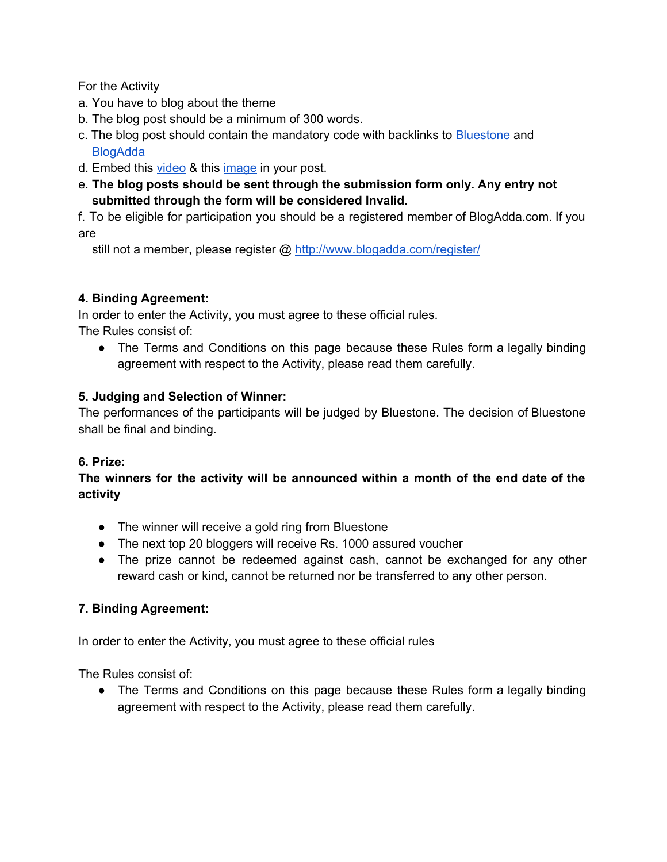For the Activity

- a. You have to blog about the theme
- b. The blog post should be a minimum of 300 words.
- c. The blog post should contain the mandatory code with backlinks to [Bluestone](http://www.google.com/url?q=http%3A%2F%2Fwww.bluestone.com%2Fvalentine.html&sa=D&sntz=1&usg=AFQjCNEPeneFBgil5wJhRS_mNAqbsCNP3w) and **B[logAdda](http://www.google.com/url?q=http%3A%2F%2Fblogadda.com&sa=D&sntz=1&usg=AFQjCNGDSPaYi1yKPguPecY-E93e1RIQGg)**
- d. Embed this [video](https://www.youtube.com/watch?v=XpGyBRHG94E&list=UUMSqLII9cjCP429uaCfje7g?utm_source=BlogAdda&utm_medium=Wall_Post&utm_campaign=Contest&utm_content=SoundOfLove) & this [image](http://www.google.com/url?q=http%3A%2F%2Fbluestone.blogadda.com%2Fimages%2Fbluestone.jpg&sa=D&sntz=1&usg=AFQjCNGWoULlTnSspWlxPLBuh1SrQNeT2Q) in your post.
- e. **The blog posts should be sent through the submission form only. Any entry not submitted through the form will be considered Invalid.**

f. To be eligible for participation you should be a registered member of BlogAdda.com. If you are

still not a member, please register @ [http://www.blogadda.com/register/](http://www.google.com/url?q=http%3A%2F%2Fwww.blogadda.com%2Fregister%2F&sa=D&sntz=1&usg=AFQjCNFgU8uPl5gJU2_ucfP5G4FyPs6bOA)

# **4. Binding Agreement:**

In order to enter the Activity, you must agree to these official rules.

The Rules consist of:

• The Terms and Conditions on this page because these Rules form a legally binding agreement with respect to the Activity, please read them carefully.

# **5. Judging and Selection of Winner:**

The performances of the participants will be judged by Bluestone. The decision of Bluestone shall be final and binding.

# **6. Prize:**

**The winners for the activity will be announced within a month of the end date of the activity**

- The winner will receive a gold ring from Bluestone
- The next top 20 bloggers will receive Rs. 1000 assured voucher
- The prize cannot be redeemed against cash, cannot be exchanged for any other reward cash or kind, cannot be returned nor be transferred to any other person.

# **7. Binding Agreement:**

In order to enter the Activity, you must agree to these official rules

The Rules consist of:

• The Terms and Conditions on this page because these Rules form a legally binding agreement with respect to the Activity, please read them carefully.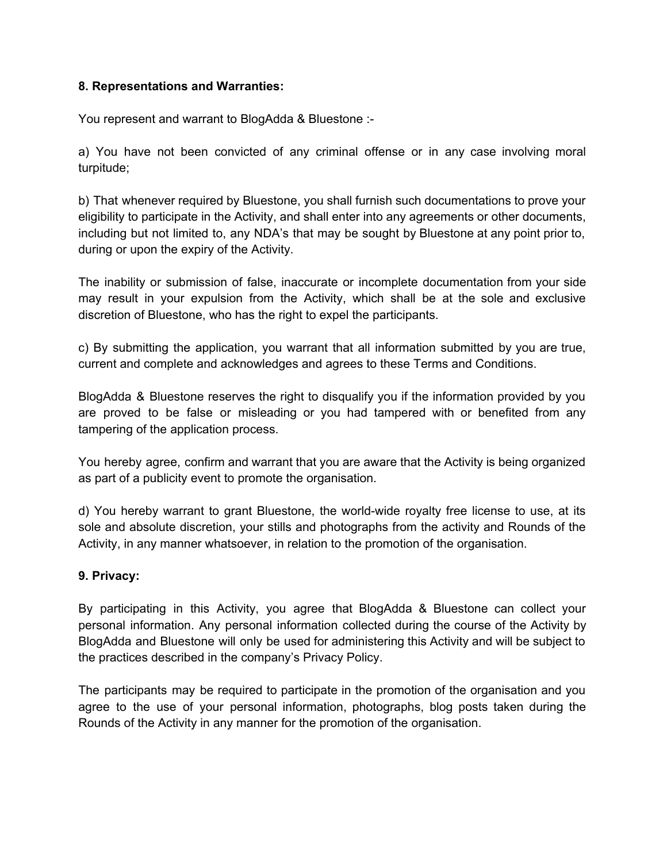#### **8. Representations and Warranties:**

You represent and warrant to BlogAdda & Bluestone :

a) You have not been convicted of any criminal offense or in any case involving moral turpitude;

b) That whenever required by Bluestone, you shall furnish such documentations to prove your eligibility to participate in the Activity, and shall enter into any agreements or other documents, including but not limited to, any NDA's that may be sought by Bluestone at any point prior to, during or upon the expiry of the Activity.

The inability or submission of false, inaccurate or incomplete documentation from your side may result in your expulsion from the Activity, which shall be at the sole and exclusive discretion of Bluestone, who has the right to expel the participants.

c) By submitting the application, you warrant that all information submitted by you are true, current and complete and acknowledges and agrees to these Terms and Conditions.

BlogAdda & Bluestone reserves the right to disqualify you if the information provided by you are proved to be false or misleading or you had tampered with or benefited from any tampering of the application process.

You hereby agree, confirm and warrant that you are aware that the Activity is being organized as part of a publicity event to promote the organisation.

d) You hereby warrant to grant Bluestone, the world-wide royalty free license to use, at its sole and absolute discretion, your stills and photographs from the activity and Rounds of the Activity, in any manner whatsoever, in relation to the promotion of the organisation.

# **9. Privacy:**

By participating in this Activity, you agree that BlogAdda & Bluestone can collect your personal information. Any personal information collected during the course of the Activity by BlogAdda and Bluestone will only be used for administering this Activity and will be subject to the practices described in the company's Privacy Policy.

The participants may be required to participate in the promotion of the organisation and you agree to the use of your personal information, photographs, blog posts taken during the Rounds of the Activity in any manner for the promotion of the organisation.